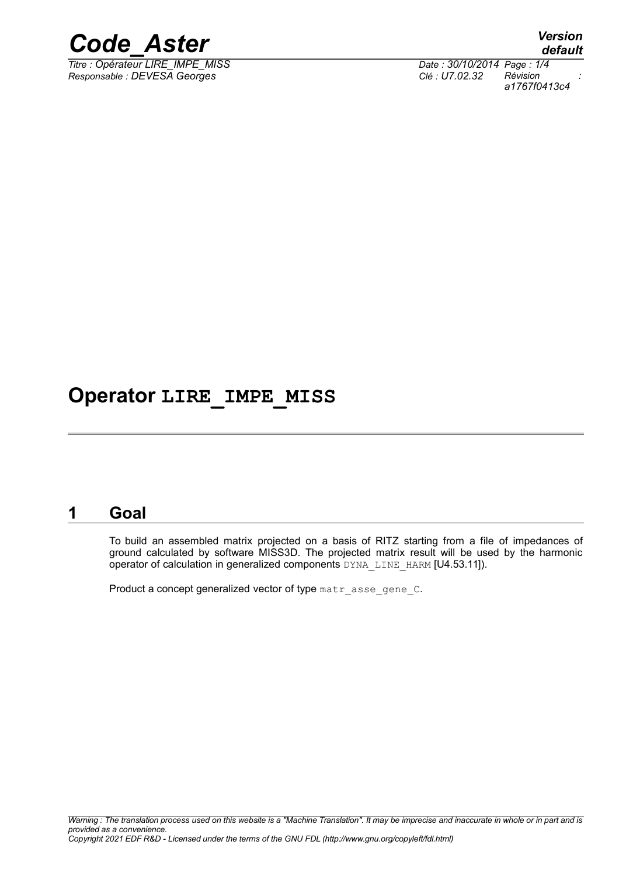

*Titre : Opérateur LIRE\_IMPE\_MISS Date : 30/10/2014 Page : 1/4 Responsable : DEVESA Georges Clé : U7.02.32 Révision :*

*default a1767f0413c4*

### **Operator LIRE\_IMPE\_MISS**

#### **1 Goal**

To build an assembled matrix projected on a basis of RITZ starting from a file of impedances of ground calculated by software MISS3D. The projected matrix result will be used by the harmonic operator of calculation in generalized components DYNA\_LINE\_HARM [U4.53.11]).

Product a concept generalized vector of type matr asse gene C.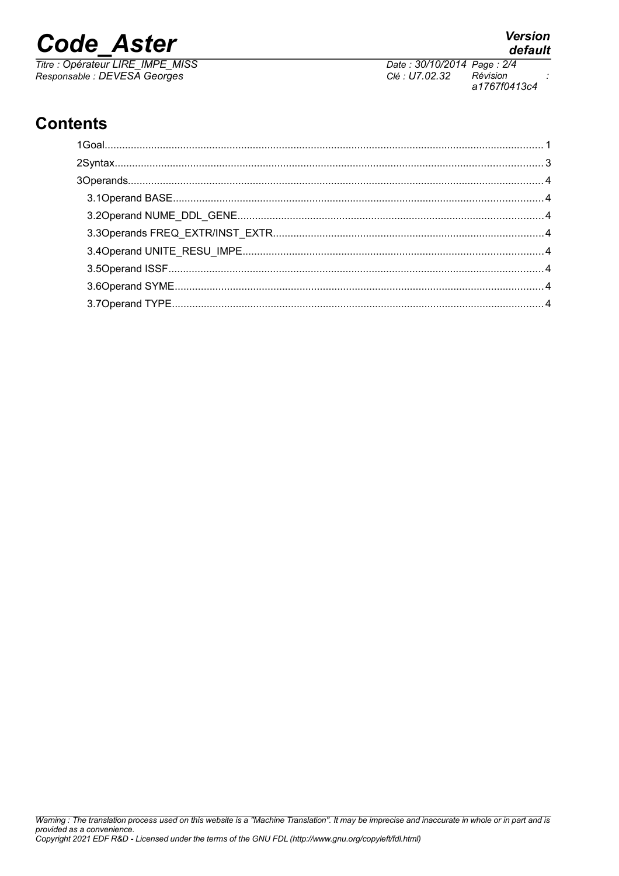# **Code Aster**

Titre : Opérateur LIRE\_IMPE\_MISS<br>Responsable : DEVESA Georges

Date: 30/10/2014 Page: 2/4 Clé : U7.02.32 Révision  $\ddot{\cdot}$ a1767f0413c4

## **Contents**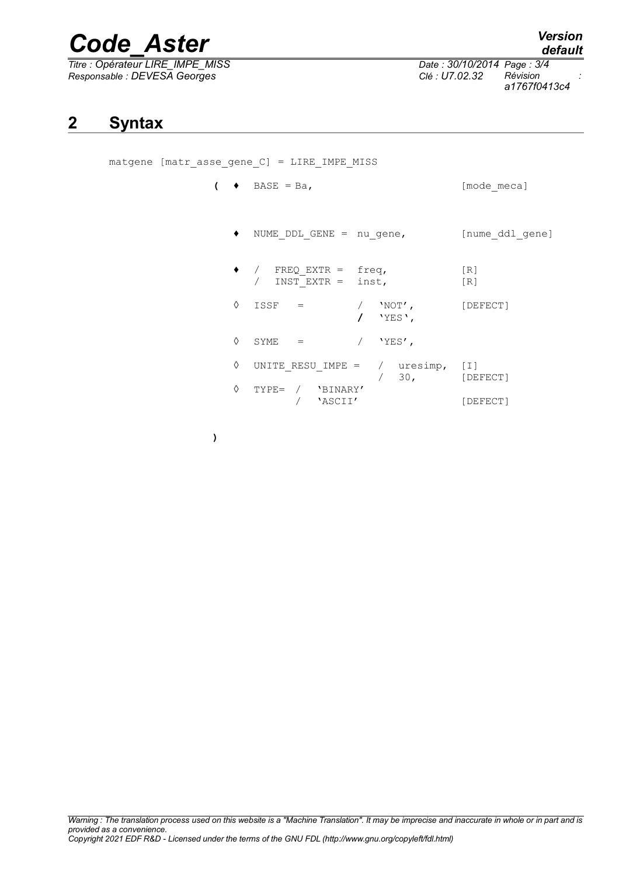# *Code\_Aster Version*

*Titre : Opérateur LIRE\_IMPE\_MISS Date : 30/10/2014 Page : 3/4 Responsable : DEVESA Georges Clé : U7.02.32 Révision :*

*a1767f0413c4*

**2 Syntax**

matgene [matr\_asse\_gene\_C] = LIRE\_IMPE\_MISS

**)**

- $\left(\begin{array}{ccc} \bullet & \text{BASE} & = \text{Ba}, \end{array}\right)$  [mode\_meca]
	- ♦ NUME\_DDL\_GENE = nu\_gene, [nume\_ddl\_gene]

|   | $FREQ$ $EXTR = \nfrac{1}{2}$<br>INST EXTR = $inst$ , |                     | [R]<br>[R]     |
|---|------------------------------------------------------|---------------------|----------------|
| ♦ | ISSF                                                 | $'NOT'$ ,<br>'YES', | [DEFECT]       |
| ♦ | SYME<br>$=$                                          | $'YES'$ ,           |                |
| ♦ | UNITE RESU IMPE = $/$ uresimp,                       | 30 <sub>1</sub>     | I <br>[DEFECT] |
|   | 'BINARY'<br>$TYPE=$<br>'ASCII'                       |                     | [DEFECT]       |